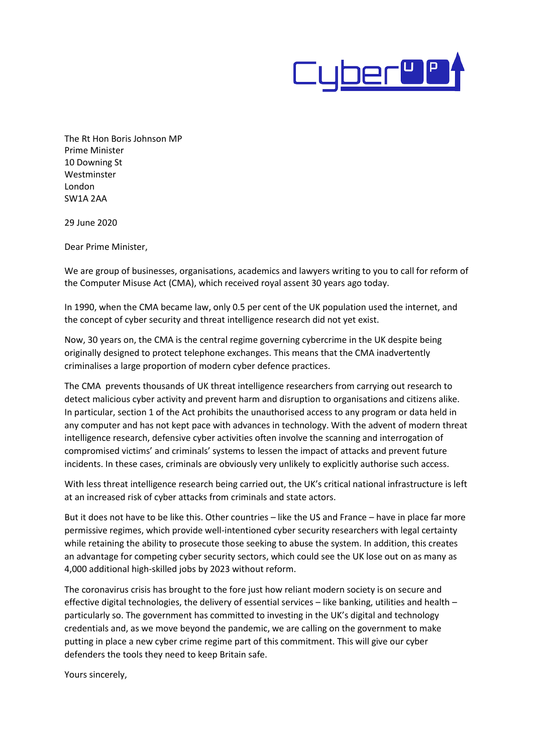

The Rt Hon Boris Johnson MP Prime Minister 10 Downing St Westminster London SW1A 2AA

29 June 2020

Dear Prime Minister,

We are group of businesses, organisations, academics and lawyers writing to you to call for reform of the Computer Misuse Act (CMA), which received royal assent 30 years ago today.

In 1990, when the CMA became law, only 0.5 per cent of the UK population used the internet, and the concept of cyber security and threat intelligence research did not yet exist.

Now, 30 years on, the CMA is the central regime governing cybercrime in the UK despite being originally designed to protect telephone exchanges. This means that the CMA inadvertently criminalises a large proportion of modern cyber defence practices.

The CMA prevents thousands of UK threat intelligence researchers from carrying out research to detect malicious cyber activity and prevent harm and disruption to organisations and citizens alike. In particular, section 1 of the Act prohibits the unauthorised access to any program or data held in any computer and has not kept pace with advances in technology. With the advent of modern threat intelligence research, defensive cyber activities often involve the scanning and interrogation of compromised victims' and criminals' systems to lessen the impact of attacks and prevent future incidents. In these cases, criminals are obviously very unlikely to explicitly authorise such access.

With less threat intelligence research being carried out, the UK's critical national infrastructure is left at an increased risk of cyber attacks from criminals and state actors.

But it does not have to be like this. Other countries – like the US and France – have in place far more permissive regimes, which provide well-intentioned cyber security researchers with legal certainty while retaining the ability to prosecute those seeking to abuse the system. In addition, this creates an advantage for competing cyber security sectors, which could see the UK lose out on as many as 4,000 additional high-skilled jobs by 2023 without reform.

The coronavirus crisis has brought to the fore just how reliant modern society is on secure and effective digital technologies, the delivery of essential services – like banking, utilities and health – particularly so. The government has committed to investing in the UK's digital and technology credentials and, as we move beyond the pandemic, we are calling on the government to make putting in place a new cyber crime regime part of this commitment. This will give our cyber defenders the tools they need to keep Britain safe.

Yours sincerely,